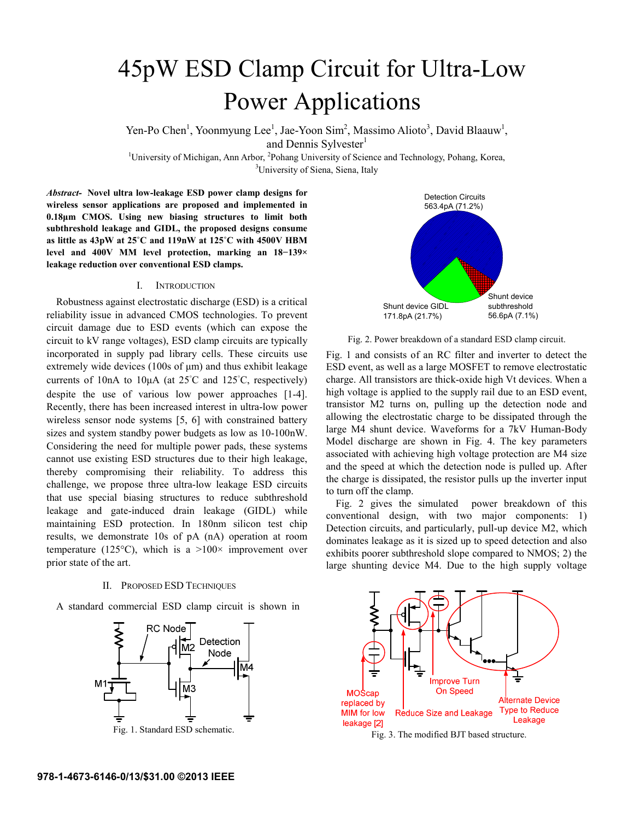# 45pW ESD Clamp Circuit for Ultra-Low Power Applications

Yen-Po Chen<sup>1</sup>, Yoonmyung Lee<sup>1</sup>, Jae-Yoon Sim<sup>2</sup>, Massimo Alioto<sup>3</sup>, David Blaauw<sup>1</sup>, and Dennis Sylvester<sup>1</sup>

<sup>1</sup>University of Michigan, Ann Arbor, <sup>2</sup>Pohang University of Science and Technology, Pohang, Korea, <sup>31</sup>University of Siena, Siena, Italy <sup>3</sup>University of Siena, Siena, Italy

*Abstract-* **Novel ultra low-leakage ESD power clamp designs for wireless sensor applications are proposed and implemented in 0.18μm CMOS. Using new biasing structures to limit both subthreshold leakage and GIDL, the proposed designs consume as little as 43pW at 25˚C and 119nW at 125˚C with 4500V HBM level and 400V MM level protection, marking an 18−139× leakage reduction over conventional ESD clamps.**

## I. INTRODUCTION

Robustness against electrostatic discharge (ESD) is a critical reliability issue in advanced CMOS technologies. To prevent circuit damage due to ESD events (which can expose the circuit to kV range voltages), ESD clamp circuits are typically incorporated in supply pad library cells. These circuits use extremely wide devices (100s of μm) and thus exhibit leakage currents of 10nA to 10 $\mu$ A (at 25°C and 125°C, respectively) despite the use of various low power approaches [1-4]. Recently, there has been increased interest in ultra-low power wireless sensor node systems [5, 6] with constrained battery sizes and system standby power budgets as low as 10-100nW. Considering the need for multiple power pads, these systems cannot use existing ESD structures due to their high leakage, thereby compromising their reliability. To address this challenge, we propose three ultra-low leakage ESD circuits that use special biasing structures to reduce subthreshold leakage and gate-induced drain leakage (GIDL) while maintaining ESD protection. In 180nm silicon test chip results, we demonstrate 10s of pA (nA) operation at room temperature (125 $\textdegree$ C), which is a >100 $\times$  improvement over prior state of the art.

## II. PROPOSED ESD TECHNIQUES

A standard commercial ESD clamp circuit is shown in





Fig. 2. Power breakdown of a standard ESD clamp circuit.

Fig. 1 and consists of an RC filter and inverter to detect the ESD event, as well as a large MOSFET to remove electrostatic charge. All transistors are thick-oxide high Vt devices. When a high voltage is applied to the supply rail due to an ESD event, transistor M2 turns on, pulling up the detection node and allowing the electrostatic charge to be dissipated through the large M4 shunt device. Waveforms for a 7kV Human-Body Model discharge are shown in Fig. 4. The key parameters associated with achieving high voltage protection are M4 size and the speed at which the detection node is pulled up. After the charge is dissipated, the resistor pulls up the inverter input to turn off the clamp.

Fig. 2 gives the simulated power breakdown of this conventional design, with two major components: 1) Detection circuits, and particularly, pull-up device M2, which dominates leakage as it is sized up to speed detection and also exhibits poorer subthreshold slope compared to NMOS; 2) the large shunting device M4. Due to the high supply voltage

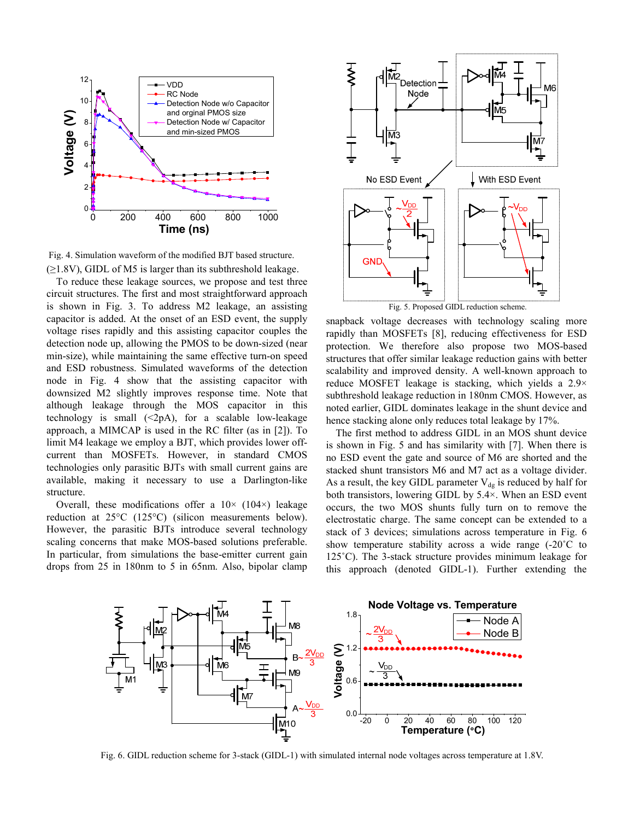

 $(\geq 1.8V)$ , GIDL of M5 is larger than its subthreshold leakage. Fig. 4. Simulation waveform of the modified BJT based structure.

To reduce these leakage sources, we propose and test three circuit structures. The first and most straightforward approach is shown in Fig. 3. To address M2 leakage, an assisting capacitor is added. At the onset of an ESD event, the supply voltage rises rapidly and this assisting capacitor couples the detection node up, allowing the PMOS to be down-sized (near min-size), while maintaining the same effective turn-on speed and ESD robustness. Simulated waveforms of the detection node in Fig. 4 show that the assisting capacitor with downsized M2 slightly improves response time. Note that although leakage through the MOS capacitor in this technology is small  $(\leq 2p)$ , for a scalable low-leakage approach, a MIMCAP is used in the RC filter (as in [2]). To limit M4 leakage we employ a BJT, which provides lower offcurrent than MOSFETs. However, in standard CMOS technologies only parasitic BJTs with small current gains are available, making it necessary to use a Darlington-like structure.

Overall, these modifications offer a  $10\times$  (104 $\times$ ) leakage reduction at 25°C (125°C) (silicon measurements below). However, the parasitic BJTs introduce several technology scaling concerns that make MOS-based solutions preferable. In particular, from simulations the base-emitter current gain drops from 25 in 180nm to 5 in 65nm. Also, bipolar clamp



snapback voltage decreases with technology scaling more rapidly than MOSFETs [8], reducing effectiveness for ESD protection. We therefore also propose two MOS-based structures that offer similar leakage reduction gains with better scalability and improved density. A well-known approach to reduce MOSFET leakage is stacking, which yields a 2.9× subthreshold leakage reduction in 180nm CMOS. However, as noted earlier, GIDL dominates leakage in the shunt device and hence stacking alone only reduces total leakage by 17%.

The first method to address GIDL in an MOS shunt device is shown in Fig. 5 and has similarity with [7]. When there is no ESD event the gate and source of M6 are shorted and the stacked shunt transistors M6 and M7 act as a voltage divider. As a result, the key GIDL parameter  $V_{dg}$  is reduced by half for both transistors, lowering GIDL by 5.4×. When an ESD event occurs, the two MOS shunts fully turn on to remove the electrostatic charge. The same concept can be extended to a stack of 3 devices; simulations across temperature in Fig. 6 show temperature stability across a wide range (-20˚C to 125˚C). The 3-stack structure provides minimum leakage for this approach (denoted GIDL-1). Further extending the



Fig. 6. GIDL reduction scheme for 3-stack (GIDL-1) with simulated internal node voltages across temperature at 1.8V.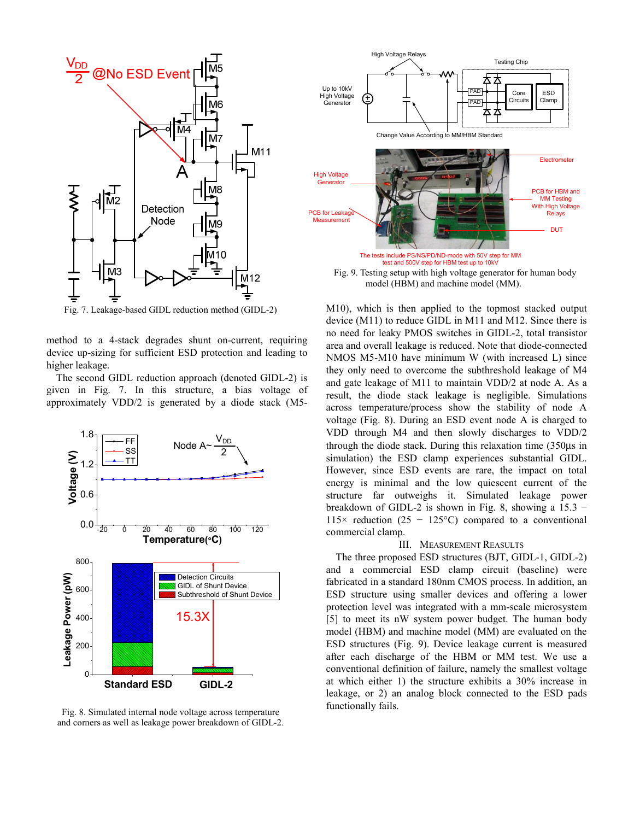

Fig. 7. Leakage-based GIDL reduction method (GIDL-2)

method to a 4-stack degrades shunt on-current, requiring device up-sizing for sufficient ESD protection and leading to higher leakage.

The second GIDL reduction approach (denoted GIDL-2) is given in Fig. 7. In this structure, a bias voltage of approximately VDD/2 is generated by a diode stack (M5-



Fig. 8. Simulated internal node voltage across temperature and corners as well as leakage power breakdown of GIDL-2.



 Fig. 9. Testing setup with high voltage generator for human body model (HBM) and machine model (MM).

M10), which is then applied to the topmost stacked output device (M11) to reduce GIDL in M11 and M12. Since there is no need for leaky PMOS switches in GIDL-2, total transistor area and overall leakage is reduced. Note that diode-connected NMOS M5-M10 have minimum W (with increased L) since they only need to overcome the subthreshold leakage of M4 and gate leakage of M11 to maintain VDD/2 at node A. As a result, the diode stack leakage is negligible. Simulations across temperature/process show the stability of node A voltage (Fig. 8). During an ESD event node A is charged to VDD through M4 and then slowly discharges to VDD/2 through the diode stack. During this relaxation time (350μs in simulation) the ESD clamp experiences substantial GIDL. However, since ESD events are rare, the impact on total energy is minimal and the low quiescent current of the structure far outweighs it. Simulated leakage power breakdown of GIDL-2 is shown in Fig. 8, showing a  $15.3 -$ 115× reduction (25 – 125 °C) compared to a conventional commercial clamp.

### III. MEASUREMENT REASULTS

The three proposed ESD structures (BJT, GIDL-1, GIDL-2) and a commercial ESD clamp circuit (baseline) were fabricated in a standard 180nm CMOS process. In addition, an ESD structure using smaller devices and offering a lower protection level was integrated with a mm-scale microsystem [5] to meet its nW system power budget. The human body model (HBM) and machine model (MM) are evaluated on the ESD structures (Fig. 9). Device leakage current is measured after each discharge of the HBM or MM test. We use a conventional definition of failure, namely the smallest voltage at which either 1) the structure exhibits a 30% increase in leakage, or 2) an analog block connected to the ESD pads functionally fails.